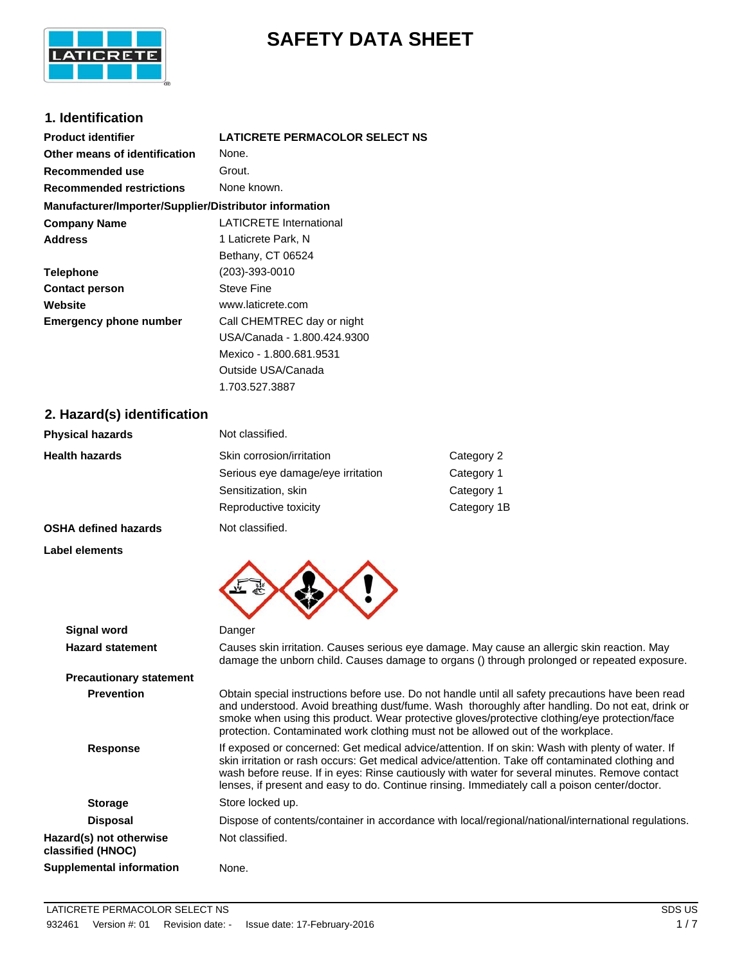

# **SAFETY DATA SHEET**

# **1. Identification**

| <b>Product identifier</b>                              | LATICRETE PERMACOLOR SELECT NS |
|--------------------------------------------------------|--------------------------------|
| Other means of identification                          | None.                          |
| Recommended use                                        | Grout.                         |
| <b>Recommended restrictions</b>                        | None known.                    |
| Manufacturer/Importer/Supplier/Distributor information |                                |
| <b>Company Name</b>                                    | LATICRETE International        |
| <b>Address</b>                                         | 1 Laticrete Park, N            |
|                                                        | Bethany, CT 06524              |
| <b>Telephone</b>                                       | (203)-393-0010                 |
| <b>Contact person</b>                                  | <b>Steve Fine</b>              |
| Website                                                | www.laticrete.com              |
| <b>Emergency phone number</b>                          | Call CHEMTREC day or night     |
|                                                        | USA/Canada - 1.800.424.9300    |
|                                                        | Mexico - 1.800.681.9531        |
|                                                        | Outside USA/Canada             |

# **2. Hazard(s) identification**

| <b>Physical hazards</b>     | Not classified.                   |             |
|-----------------------------|-----------------------------------|-------------|
| <b>Health hazards</b>       | Skin corrosion/irritation         | Category 2  |
|                             | Serious eye damage/eye irritation | Category 1  |
|                             | Sensitization, skin               | Category 1  |
|                             | Reproductive toxicity             | Category 1B |
| <b>OSHA defined hazards</b> | Not classified.                   |             |

1.703.527.3887

**Label elements**



| <b>Signal word</b>                           | Danger                                                                                                                                                                                                                                                                                                                                                                                                  |
|----------------------------------------------|---------------------------------------------------------------------------------------------------------------------------------------------------------------------------------------------------------------------------------------------------------------------------------------------------------------------------------------------------------------------------------------------------------|
| <b>Hazard statement</b>                      | Causes skin irritation. Causes serious eye damage. May cause an allergic skin reaction. May<br>damage the unborn child. Causes damage to organs () through prolonged or repeated exposure.                                                                                                                                                                                                              |
| <b>Precautionary statement</b>               |                                                                                                                                                                                                                                                                                                                                                                                                         |
| <b>Prevention</b>                            | Obtain special instructions before use. Do not handle until all safety precautions have been read<br>and understood. Avoid breathing dust/fume. Wash thoroughly after handling. Do not eat, drink or<br>smoke when using this product. Wear protective gloves/protective clothing/eye protection/face<br>protection. Contaminated work clothing must not be allowed out of the workplace.               |
| <b>Response</b>                              | If exposed or concerned: Get medical advice/attention. If on skin: Wash with plenty of water. If<br>skin irritation or rash occurs: Get medical advice/attention. Take off contaminated clothing and<br>wash before reuse. If in eyes: Rinse cautiously with water for several minutes. Remove contact<br>lenses, if present and easy to do. Continue rinsing. Immediately call a poison center/doctor. |
| <b>Storage</b>                               | Store locked up.                                                                                                                                                                                                                                                                                                                                                                                        |
| <b>Disposal</b>                              | Dispose of contents/container in accordance with local/regional/national/international regulations.                                                                                                                                                                                                                                                                                                     |
| Hazard(s) not otherwise<br>classified (HNOC) | Not classified.                                                                                                                                                                                                                                                                                                                                                                                         |
| Supplemental information                     | None.                                                                                                                                                                                                                                                                                                                                                                                                   |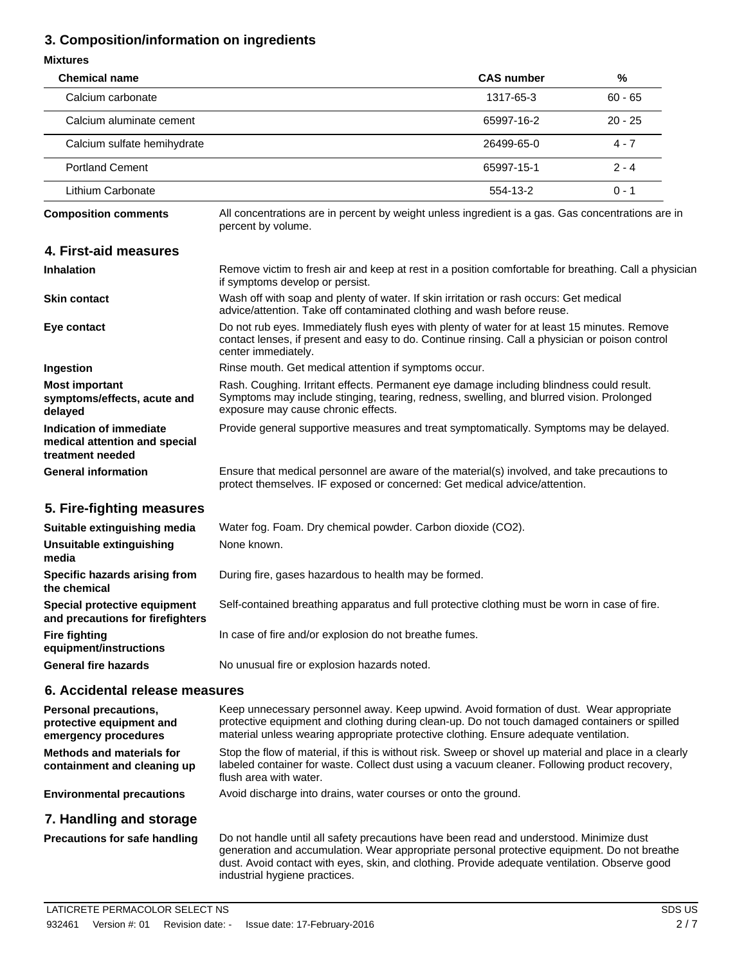# **3. Composition/information on ingredients**

| <b>Mixtures</b>                                                                  |                                                                                                                                                                                                                                                                                   |                   |           |
|----------------------------------------------------------------------------------|-----------------------------------------------------------------------------------------------------------------------------------------------------------------------------------------------------------------------------------------------------------------------------------|-------------------|-----------|
| <b>Chemical name</b>                                                             |                                                                                                                                                                                                                                                                                   | <b>CAS number</b> | %         |
| Calcium carbonate                                                                |                                                                                                                                                                                                                                                                                   | 1317-65-3         | $60 - 65$ |
| Calcium aluminate cement                                                         |                                                                                                                                                                                                                                                                                   | 65997-16-2        | $20 - 25$ |
| Calcium sulfate hemihydrate                                                      |                                                                                                                                                                                                                                                                                   | 26499-65-0        | $4 - 7$   |
| <b>Portland Cement</b>                                                           |                                                                                                                                                                                                                                                                                   | 65997-15-1        | $2 - 4$   |
| Lithium Carbonate                                                                |                                                                                                                                                                                                                                                                                   | 554-13-2          | $0 - 1$   |
| <b>Composition comments</b>                                                      | All concentrations are in percent by weight unless ingredient is a gas. Gas concentrations are in<br>percent by volume.                                                                                                                                                           |                   |           |
| 4. First-aid measures                                                            |                                                                                                                                                                                                                                                                                   |                   |           |
| <b>Inhalation</b>                                                                | Remove victim to fresh air and keep at rest in a position comfortable for breathing. Call a physician<br>if symptoms develop or persist.                                                                                                                                          |                   |           |
| <b>Skin contact</b>                                                              | Wash off with soap and plenty of water. If skin irritation or rash occurs: Get medical<br>advice/attention. Take off contaminated clothing and wash before reuse.                                                                                                                 |                   |           |
| Eye contact                                                                      | Do not rub eyes. Immediately flush eyes with plenty of water for at least 15 minutes. Remove<br>contact lenses, if present and easy to do. Continue rinsing. Call a physician or poison control<br>center immediately.                                                            |                   |           |
| Ingestion                                                                        | Rinse mouth. Get medical attention if symptoms occur.                                                                                                                                                                                                                             |                   |           |
| <b>Most important</b><br>symptoms/effects, acute and<br>delayed                  | Rash. Coughing. Irritant effects. Permanent eye damage including blindness could result.<br>Symptoms may include stinging, tearing, redness, swelling, and blurred vision. Prolonged<br>exposure may cause chronic effects.                                                       |                   |           |
| Indication of immediate<br>medical attention and special<br>treatment needed     | Provide general supportive measures and treat symptomatically. Symptoms may be delayed.                                                                                                                                                                                           |                   |           |
| <b>General information</b>                                                       | Ensure that medical personnel are aware of the material(s) involved, and take precautions to<br>protect themselves. IF exposed or concerned: Get medical advice/attention.                                                                                                        |                   |           |
| 5. Fire-fighting measures                                                        |                                                                                                                                                                                                                                                                                   |                   |           |
| Suitable extinguishing media                                                     | Water fog. Foam. Dry chemical powder. Carbon dioxide (CO2).                                                                                                                                                                                                                       |                   |           |
| Unsuitable extinguishing<br>media                                                | None known.                                                                                                                                                                                                                                                                       |                   |           |
| Specific hazards arising from<br>the chemical                                    | During fire, gases hazardous to health may be formed.                                                                                                                                                                                                                             |                   |           |
| Special protective equipment<br>and precautions for firefighters                 | Self-contained breathing apparatus and full protective clothing must be worn in case of fire.                                                                                                                                                                                     |                   |           |
| <b>Fire fighting</b><br>equipment/instructions                                   | In case of fire and/or explosion do not breathe fumes.                                                                                                                                                                                                                            |                   |           |
| <b>General fire hazards</b>                                                      | No unusual fire or explosion hazards noted.                                                                                                                                                                                                                                       |                   |           |
| 6. Accidental release measures                                                   |                                                                                                                                                                                                                                                                                   |                   |           |
| <b>Personal precautions,</b><br>protective equipment and<br>emergency procedures | Keep unnecessary personnel away. Keep upwind. Avoid formation of dust. Wear appropriate<br>protective equipment and clothing during clean-up. Do not touch damaged containers or spilled<br>material unless wearing appropriate protective clothing. Ensure adequate ventilation. |                   |           |
| <b>Methods and materials for</b><br>containment and cleaning up                  | Stop the flow of material, if this is without risk. Sweep or shovel up material and place in a clearly<br>labeled container for waste. Collect dust using a vacuum cleaner. Following product recovery,<br>flush area with water.                                                 |                   |           |
| <b>Environmental precautions</b>                                                 | Avoid discharge into drains, water courses or onto the ground.                                                                                                                                                                                                                    |                   |           |

# **7. Handling and storage**

Do not handle until all safety precautions have been read and understood. Minimize dust generation and accumulation. Wear appropriate personal protective equipment. Do not breathe dust. Avoid contact with eyes, skin, and clothing. Provide adequate ventilation. Observe good industrial hygiene practices. **Precautions for safe handling**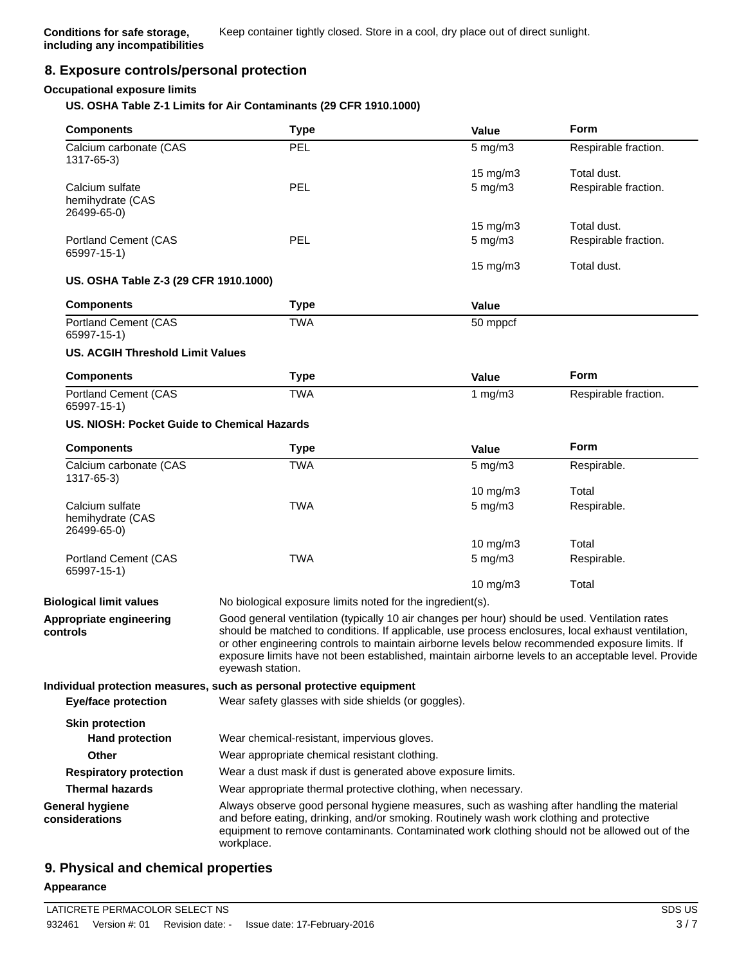# **8. Exposure controls/personal protection**

#### **Occupational exposure limits**

#### **US. OSHA Table Z-1 Limits for Air Contaminants (29 CFR 1910.1000)**

| <b>Components</b>                                  | <b>Type</b>                                                                                                                                                                                                                                                                                                                                                                                                                        | Value                                                                                                                                                                                                                                                                                                                                                    | <b>Form</b>          |  |
|----------------------------------------------------|------------------------------------------------------------------------------------------------------------------------------------------------------------------------------------------------------------------------------------------------------------------------------------------------------------------------------------------------------------------------------------------------------------------------------------|----------------------------------------------------------------------------------------------------------------------------------------------------------------------------------------------------------------------------------------------------------------------------------------------------------------------------------------------------------|----------------------|--|
| Calcium carbonate (CAS<br>1317-65-3)               | PEL                                                                                                                                                                                                                                                                                                                                                                                                                                | 5 mg/m3                                                                                                                                                                                                                                                                                                                                                  | Respirable fraction. |  |
|                                                    |                                                                                                                                                                                                                                                                                                                                                                                                                                    | 15 mg/m3                                                                                                                                                                                                                                                                                                                                                 | Total dust.          |  |
| Calcium sulfate                                    | PEL                                                                                                                                                                                                                                                                                                                                                                                                                                | $5$ mg/m $3$                                                                                                                                                                                                                                                                                                                                             | Respirable fraction. |  |
| hemihydrate (CAS<br>26499-65-0)                    |                                                                                                                                                                                                                                                                                                                                                                                                                                    |                                                                                                                                                                                                                                                                                                                                                          |                      |  |
|                                                    |                                                                                                                                                                                                                                                                                                                                                                                                                                    | 15 mg/m $3$                                                                                                                                                                                                                                                                                                                                              | Total dust.          |  |
| <b>Portland Cement (CAS</b><br>65997-15-1)         | <b>PEL</b>                                                                                                                                                                                                                                                                                                                                                                                                                         | $5$ mg/m $3$                                                                                                                                                                                                                                                                                                                                             | Respirable fraction. |  |
| US. OSHA Table Z-3 (29 CFR 1910.1000)              |                                                                                                                                                                                                                                                                                                                                                                                                                                    | 15 mg/m3                                                                                                                                                                                                                                                                                                                                                 | Total dust.          |  |
| <b>Components</b>                                  | <b>Type</b>                                                                                                                                                                                                                                                                                                                                                                                                                        | Value                                                                                                                                                                                                                                                                                                                                                    |                      |  |
| <b>Portland Cement (CAS</b><br>65997-15-1)         | <b>TWA</b>                                                                                                                                                                                                                                                                                                                                                                                                                         | 50 mppcf                                                                                                                                                                                                                                                                                                                                                 |                      |  |
| <b>US. ACGIH Threshold Limit Values</b>            |                                                                                                                                                                                                                                                                                                                                                                                                                                    |                                                                                                                                                                                                                                                                                                                                                          |                      |  |
| <b>Components</b>                                  | <b>Type</b>                                                                                                                                                                                                                                                                                                                                                                                                                        | Value                                                                                                                                                                                                                                                                                                                                                    | Form                 |  |
| <b>Portland Cement (CAS</b><br>65997-15-1)         | <b>TWA</b>                                                                                                                                                                                                                                                                                                                                                                                                                         | 1 $mg/m3$                                                                                                                                                                                                                                                                                                                                                | Respirable fraction. |  |
| US. NIOSH: Pocket Guide to Chemical Hazards        |                                                                                                                                                                                                                                                                                                                                                                                                                                    |                                                                                                                                                                                                                                                                                                                                                          |                      |  |
| <b>Components</b>                                  | <b>Type</b>                                                                                                                                                                                                                                                                                                                                                                                                                        | Value                                                                                                                                                                                                                                                                                                                                                    | Form                 |  |
| Calcium carbonate (CAS<br>1317-65-3)               | <b>TWA</b>                                                                                                                                                                                                                                                                                                                                                                                                                         | $5 \text{ mg/m}$                                                                                                                                                                                                                                                                                                                                         | Respirable.          |  |
|                                                    |                                                                                                                                                                                                                                                                                                                                                                                                                                    | 10 $mg/m3$                                                                                                                                                                                                                                                                                                                                               | Total                |  |
| Calcium sulfate<br>hemihydrate (CAS<br>26499-65-0) | <b>TWA</b>                                                                                                                                                                                                                                                                                                                                                                                                                         | $5$ mg/m $3$                                                                                                                                                                                                                                                                                                                                             | Respirable.          |  |
|                                                    |                                                                                                                                                                                                                                                                                                                                                                                                                                    | $10$ mg/m $3$                                                                                                                                                                                                                                                                                                                                            | Total                |  |
| <b>Portland Cement (CAS</b><br>65997-15-1)         | <b>TWA</b>                                                                                                                                                                                                                                                                                                                                                                                                                         | $5$ mg/m $3$                                                                                                                                                                                                                                                                                                                                             | Respirable.          |  |
|                                                    |                                                                                                                                                                                                                                                                                                                                                                                                                                    | $10$ mg/m $3$                                                                                                                                                                                                                                                                                                                                            | Total                |  |
| <b>Biological limit values</b>                     | No biological exposure limits noted for the ingredient(s).                                                                                                                                                                                                                                                                                                                                                                         |                                                                                                                                                                                                                                                                                                                                                          |                      |  |
| Appropriate engineering<br>controls                | Good general ventilation (typically 10 air changes per hour) should be used. Ventilation rates<br>should be matched to conditions. If applicable, use process enclosures, local exhaust ventilation,<br>or other engineering controls to maintain airborne levels below recommended exposure limits. If<br>exposure limits have not been established, maintain airborne levels to an acceptable level. Provide<br>eyewash station. |                                                                                                                                                                                                                                                                                                                                                          |                      |  |
|                                                    | Individual protection measures, such as personal protective equipment                                                                                                                                                                                                                                                                                                                                                              |                                                                                                                                                                                                                                                                                                                                                          |                      |  |
| <b>Eye/face protection</b>                         | Wear safety glasses with side shields (or goggles).                                                                                                                                                                                                                                                                                                                                                                                |                                                                                                                                                                                                                                                                                                                                                          |                      |  |
| <b>Skin protection</b>                             |                                                                                                                                                                                                                                                                                                                                                                                                                                    |                                                                                                                                                                                                                                                                                                                                                          |                      |  |
| <b>Hand protection</b>                             | Wear chemical-resistant, impervious gloves.                                                                                                                                                                                                                                                                                                                                                                                        |                                                                                                                                                                                                                                                                                                                                                          |                      |  |
| Other                                              | Wear appropriate chemical resistant clothing.                                                                                                                                                                                                                                                                                                                                                                                      |                                                                                                                                                                                                                                                                                                                                                          |                      |  |
| <b>Respiratory protection</b>                      | Wear a dust mask if dust is generated above exposure limits.                                                                                                                                                                                                                                                                                                                                                                       |                                                                                                                                                                                                                                                                                                                                                          |                      |  |
| <b>Thermal hazards</b>                             |                                                                                                                                                                                                                                                                                                                                                                                                                                    |                                                                                                                                                                                                                                                                                                                                                          |                      |  |
| <b>General hygiene</b><br>considerations           | workplace.                                                                                                                                                                                                                                                                                                                                                                                                                         | Wear appropriate thermal protective clothing, when necessary.<br>Always observe good personal hygiene measures, such as washing after handling the material<br>and before eating, drinking, and/or smoking. Routinely wash work clothing and protective<br>equipment to remove contaminants. Contaminated work clothing should not be allowed out of the |                      |  |

# **9. Physical and chemical properties**

#### **Appearance**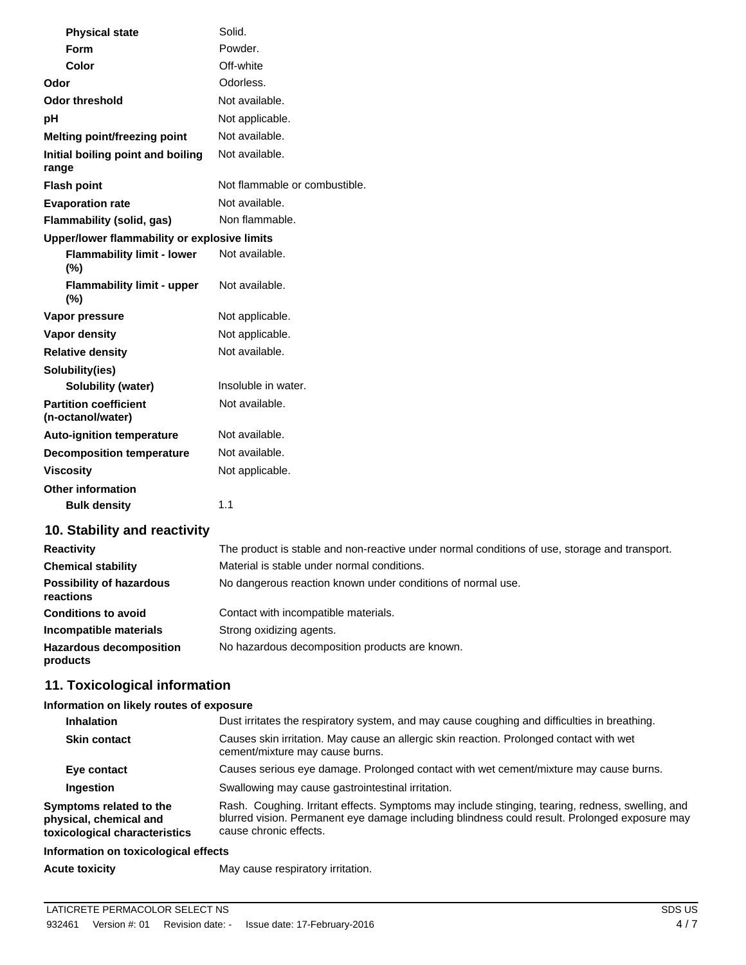| <b>Physical state</b>                             | Solid.                        |
|---------------------------------------------------|-------------------------------|
| Form                                              | Powder.                       |
| Color                                             | Off-white                     |
| Odor                                              | Odorless.                     |
| <b>Odor threshold</b>                             | Not available.                |
| pH                                                | Not applicable.               |
| Melting point/freezing point                      | Not available.                |
| Initial boiling point and boiling<br>range        | Not available.                |
| <b>Flash point</b>                                | Not flammable or combustible. |
| <b>Evaporation rate</b>                           | Not available.                |
| Flammability (solid, gas)                         | Non flammable.                |
| Upper/lower flammability or explosive limits      |                               |
| <b>Flammability limit - lower</b><br>(%)          | Not available.                |
| <b>Flammability limit - upper</b><br>(%)          | Not available.                |
| Vapor pressure                                    | Not applicable.               |
| <b>Vapor density</b>                              | Not applicable.               |
| <b>Relative density</b>                           | Not available.                |
| Solubility(ies)                                   |                               |
| <b>Solubility (water)</b>                         | Insoluble in water.           |
| <b>Partition coefficient</b><br>(n-octanol/water) | Not available.                |
| <b>Auto-ignition temperature</b>                  | Not available.                |
| <b>Decomposition temperature</b>                  | Not available.                |
| <b>Viscosity</b>                                  | Not applicable.               |
| <b>Other information</b>                          |                               |
| <b>Bulk density</b>                               | 1.1                           |

# **10. Stability and reactivity**

| <b>Reactivity</b>                            | The product is stable and non-reactive under normal conditions of use, storage and transport. |
|----------------------------------------------|-----------------------------------------------------------------------------------------------|
| <b>Chemical stability</b>                    | Material is stable under normal conditions.                                                   |
| <b>Possibility of hazardous</b><br>reactions | No dangerous reaction known under conditions of normal use.                                   |
| <b>Conditions to avoid</b>                   | Contact with incompatible materials.                                                          |
| Incompatible materials                       | Strong oxidizing agents.                                                                      |
| <b>Hazardous decomposition</b><br>products   | No hazardous decomposition products are known.                                                |

# **11. Toxicological information**

# **Information on likely routes of exposure**

| <b>Inhalation</b>                                                                  | Dust irritates the respiratory system, and may cause coughing and difficulties in breathing.                                                                                                                                |  |
|------------------------------------------------------------------------------------|-----------------------------------------------------------------------------------------------------------------------------------------------------------------------------------------------------------------------------|--|
| <b>Skin contact</b>                                                                | Causes skin irritation. May cause an allergic skin reaction. Prolonged contact with wet<br>cement/mixture may cause burns.                                                                                                  |  |
| Eye contact                                                                        | Causes serious eye damage. Prolonged contact with wet cement/mixture may cause burns.                                                                                                                                       |  |
| Ingestion                                                                          | Swallowing may cause gastrointestinal irritation.                                                                                                                                                                           |  |
| Symptoms related to the<br>physical, chemical and<br>toxicological characteristics | Rash. Coughing. Irritant effects. Symptoms may include stinging, tearing, redness, swelling, and<br>blurred vision. Permanent eye damage including blindness could result. Prolonged exposure may<br>cause chronic effects. |  |
| Information on texicological effects                                               |                                                                                                                                                                                                                             |  |

#### **Information on toxicological effects**

Acute toxicity **May cause respiratory irritation.**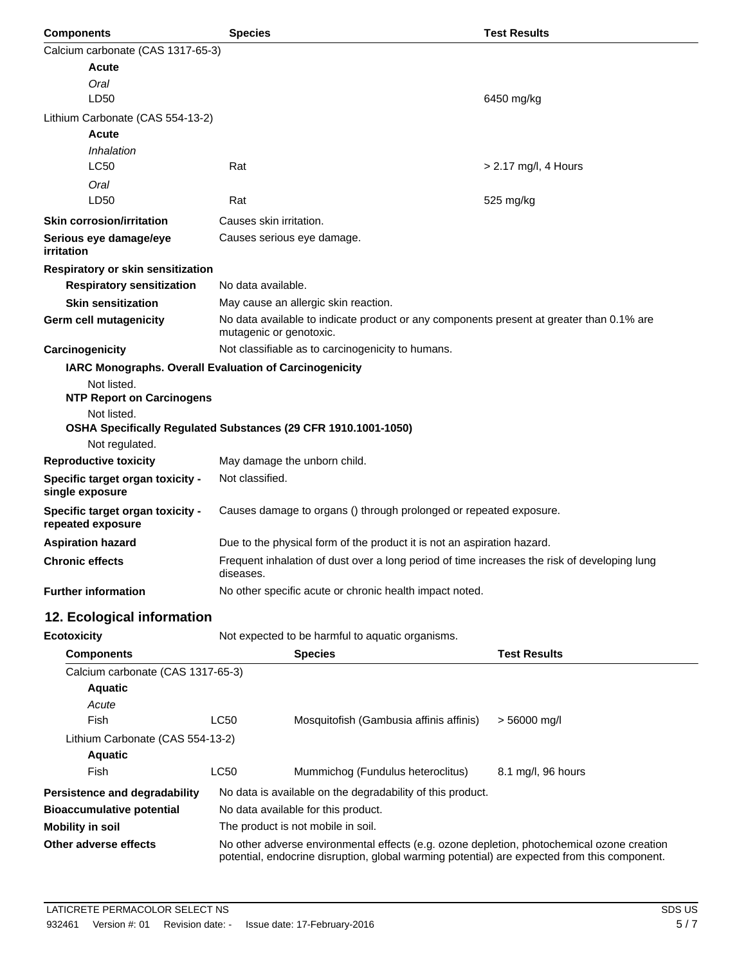| <b>Components</b>                                     | <b>Test Results</b><br><b>Species</b>                                                                               |                      |  |
|-------------------------------------------------------|---------------------------------------------------------------------------------------------------------------------|----------------------|--|
| Calcium carbonate (CAS 1317-65-3)                     |                                                                                                                     |                      |  |
| Acute                                                 |                                                                                                                     |                      |  |
| Oral                                                  |                                                                                                                     |                      |  |
| LD50                                                  |                                                                                                                     | 6450 mg/kg           |  |
| Lithium Carbonate (CAS 554-13-2)                      |                                                                                                                     |                      |  |
| Acute                                                 |                                                                                                                     |                      |  |
| Inhalation                                            |                                                                                                                     |                      |  |
| <b>LC50</b>                                           | Rat                                                                                                                 | > 2.17 mg/l, 4 Hours |  |
| Oral                                                  |                                                                                                                     |                      |  |
| LD50                                                  | Rat                                                                                                                 | 525 mg/kg            |  |
| <b>Skin corrosion/irritation</b>                      | Causes skin irritation.                                                                                             |                      |  |
| Serious eye damage/eye<br>irritation                  | Causes serious eye damage.                                                                                          |                      |  |
| Respiratory or skin sensitization                     |                                                                                                                     |                      |  |
| <b>Respiratory sensitization</b>                      | No data available.                                                                                                  |                      |  |
| <b>Skin sensitization</b>                             | May cause an allergic skin reaction.                                                                                |                      |  |
| Germ cell mutagenicity                                | No data available to indicate product or any components present at greater than 0.1% are<br>mutagenic or genotoxic. |                      |  |
| Carcinogenicity                                       | Not classifiable as to carcinogenicity to humans.                                                                   |                      |  |
|                                                       | IARC Monographs. Overall Evaluation of Carcinogenicity                                                              |                      |  |
| Not listed.                                           |                                                                                                                     |                      |  |
| <b>NTP Report on Carcinogens</b>                      |                                                                                                                     |                      |  |
| Not listed.                                           | OSHA Specifically Regulated Substances (29 CFR 1910.1001-1050)                                                      |                      |  |
| Not regulated.                                        |                                                                                                                     |                      |  |
| <b>Reproductive toxicity</b>                          | May damage the unborn child.                                                                                        |                      |  |
| Specific target organ toxicity -                      | Not classified.                                                                                                     |                      |  |
| single exposure                                       |                                                                                                                     |                      |  |
| Specific target organ toxicity -<br>repeated exposure | Causes damage to organs () through prolonged or repeated exposure.                                                  |                      |  |
| <b>Aspiration hazard</b>                              | Due to the physical form of the product it is not an aspiration hazard.                                             |                      |  |
| <b>Chronic effects</b>                                | Frequent inhalation of dust over a long period of time increases the risk of developing lung<br>diseases.           |                      |  |
| <b>Further information</b>                            | No other specific acute or chronic health impact noted.                                                             |                      |  |
| 12. Ecological information                            |                                                                                                                     |                      |  |
| <b>Ecotoxicity</b>                                    | Not expected to be harmful to aquatic organisms.                                                                    |                      |  |

| <b>Components</b>                 |                                                                                                                                                                                            | <b>Species</b>                                             | <b>Test Results</b> |
|-----------------------------------|--------------------------------------------------------------------------------------------------------------------------------------------------------------------------------------------|------------------------------------------------------------|---------------------|
| Calcium carbonate (CAS 1317-65-3) |                                                                                                                                                                                            |                                                            |                     |
| <b>Aquatic</b>                    |                                                                                                                                                                                            |                                                            |                     |
| Acute                             |                                                                                                                                                                                            |                                                            |                     |
| Fish                              | LC50                                                                                                                                                                                       | Mosquitofish (Gambusia affinis affinis)                    | $> 56000$ mg/l      |
| Lithium Carbonate (CAS 554-13-2)  |                                                                                                                                                                                            |                                                            |                     |
| <b>Aquatic</b>                    |                                                                                                                                                                                            |                                                            |                     |
| Fish                              | LC50                                                                                                                                                                                       | Mummichog (Fundulus heteroclitus)                          | 8.1 mg/l, 96 hours  |
| Persistence and degradability     |                                                                                                                                                                                            | No data is available on the degradability of this product. |                     |
| <b>Bioaccumulative potential</b>  | No data available for this product.                                                                                                                                                        |                                                            |                     |
| Mobility in soil                  | The product is not mobile in soil.                                                                                                                                                         |                                                            |                     |
| Other adverse effects             | No other adverse environmental effects (e.g. ozone depletion, photochemical ozone creation<br>potential, endocrine disruption, global warming potential) are expected from this component. |                                                            |                     |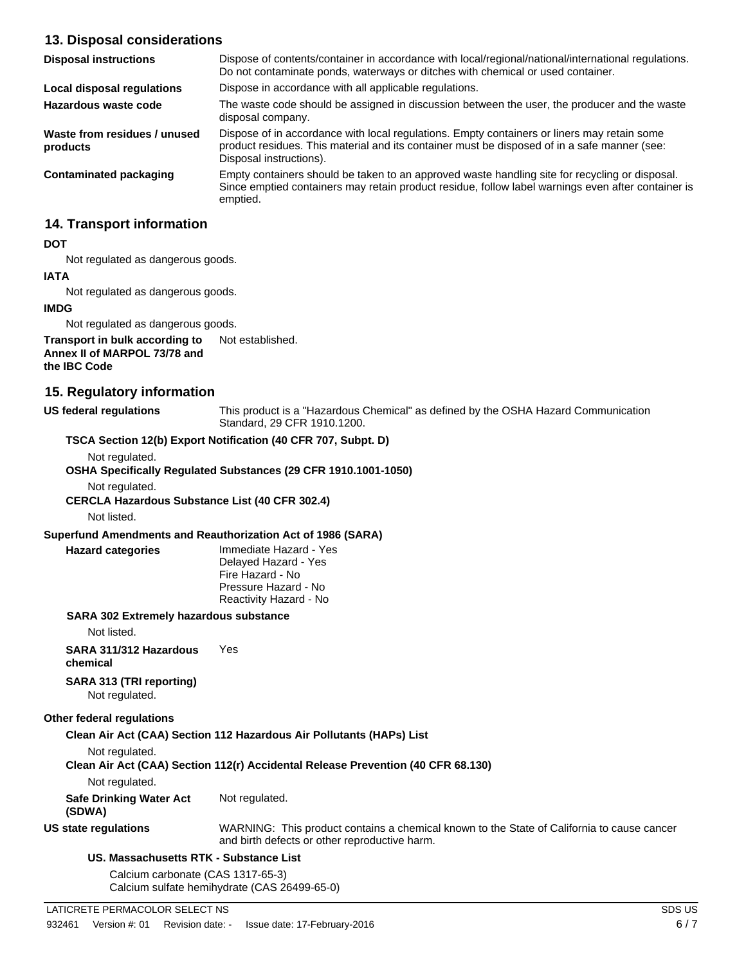# **13. Disposal considerations**

| <b>Disposal instructions</b>             | Dispose of contents/container in accordance with local/regional/national/international regulations.<br>Do not contaminate ponds, waterways or ditches with chemical or used container.                                 |
|------------------------------------------|------------------------------------------------------------------------------------------------------------------------------------------------------------------------------------------------------------------------|
| Local disposal regulations               | Dispose in accordance with all applicable regulations.                                                                                                                                                                 |
| Hazardous waste code                     | The waste code should be assigned in discussion between the user, the producer and the waste<br>disposal company.                                                                                                      |
| Waste from residues / unused<br>products | Dispose of in accordance with local regulations. Empty containers or liners may retain some<br>product residues. This material and its container must be disposed of in a safe manner (see:<br>Disposal instructions). |
| Contaminated packaging                   | Empty containers should be taken to an approved waste handling site for recycling or disposal.<br>Since emptied containers may retain product residue, follow label warnings even after container is<br>emptied.       |

# **14. Transport information**

#### **DOT**

Not regulated as dangerous goods.

### **IATA** Not regulated as dangerous goods.

#### **IMDG**

Not regulated as dangerous goods.

#### **Transport in bulk according to** Not established. **Annex II of MARPOL 73/78 and the IBC Code**

# **15. Regulatory information**

**US federal regulations**

This product is a "Hazardous Chemical" as defined by the OSHA Hazard Communication Standard, 29 CFR 1910.1200.

#### **TSCA Section 12(b) Export Notification (40 CFR 707, Subpt. D)**

Not regulated.

**OSHA Specifically Regulated Substances (29 CFR 1910.1001-1050)**

Not regulated.

**CERCLA Hazardous Substance List (40 CFR 302.4)**

Not listed.

**Hazard categories**

#### **Superfund Amendments and Reauthorization Act of 1986 (SARA)**

Immediate Hazard - Yes Delayed Hazard - Yes Fire Hazard - No Pressure Hazard - No Reactivity Hazard - No

#### **SARA 302 Extremely hazardous substance**

Not listed.

#### **SARA 311/312 Hazardous** Yes

**chemical**

**SARA 313 (TRI reporting)** Not regulated.

#### **Other federal regulations**

#### **Clean Air Act (CAA) Section 112 Hazardous Air Pollutants (HAPs) List**

Not regulated.

|  |  |  | Clean Air Act (CAA) Section 112(r) Accidental Release Prevention (40 CFR 68.130) |
|--|--|--|----------------------------------------------------------------------------------|
|--|--|--|----------------------------------------------------------------------------------|

Not regulated.

**Safe Drinking Water Act** Not regulated.

**(SDWA)**

**US state regulations**

WARNING: This product contains a chemical known to the State of California to cause cancer and birth defects or other reproductive harm.

#### **US. Massachusetts RTK - Substance List**

Calcium carbonate (CAS 1317-65-3) Calcium sulfate hemihydrate (CAS 26499-65-0)